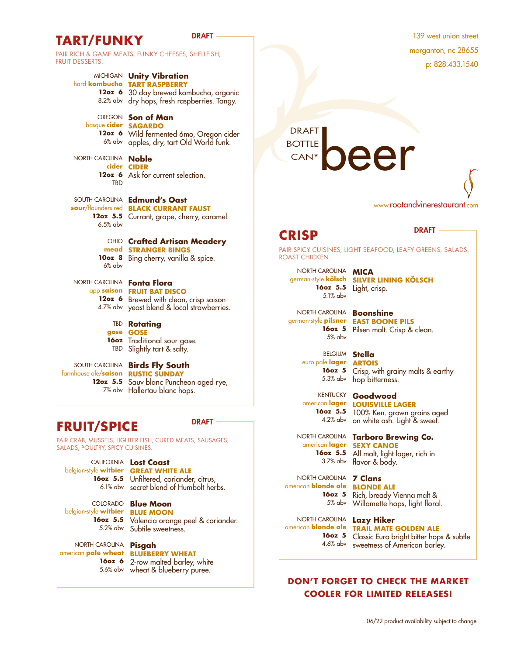## TART/FUNKY
BRAFT

PAIR RICH & GAME MEATS, FUNKY CHEESES, SHELLFISH, FRUIT DESSERTS.

MICHIGAN **Unity Vibration** hard **kombucha TART RASPBERRY 12oz 6** 30 day brewed kombucha, organic 8.2% abv dry hops, fresh raspberries. Tangy. OREGON **Son of Man** basque **cider SAGARDO 12oz 6** Wild fermented 6mo, Oregon cider 6% abv apples, dry, tart Old World funk. NORTH CAROLINA **Noble cider CIDER 12oz 6** Ask for current selection. **TRD** SOUTH CAROLINA **Edmund's Oast sour**/flounders red **BLACK CURRANT FAUST 12oz 5.5** Currant, grape, cherry, caramel. 6.5% abv OHIO **Crafted Artisan Meadery mead STRANGER BINGS 10oz 8** Bing cherry, vanilla & spice. 6% abv NORTH CAROLINA **Fonta Flora** app **saison FRUIT BAT DISCO 12oz 6** Brewed with clean, crisp saison 4.7% abv yeast blend & local strawberries. TBD **Rotating gose GOSE 16oz**  Traditional sour gose. TBD Slightly tart & salty.

farmhouse ale/**saison RUSTIC SUNDAY**

## SOUTH CAROLINA **Birds Fly South**

**12oz 5.5** Sauv blanc Puncheon aged rye, 7% abv Hallertau blanc hops.

# **FRUIT/SPICE** DRAFT

PAIR CRAB, MUSSELS, LIGHTER FISH, CURED MEATS, SAUSAGES, SALADS, POULTRY, SPICY CUISINES.

CALIFORNIA **Lost Coast**  belgian-style **witbier GREAT WHITE ALE 16oz 5.5** Unfiltered, coriander, citrus, 6.1% abv secret blend of Humbolt herbs.

COLORADO **Blue Moon**  belgian-style **witbier BLUE MOON**

**16oz 5.5** Valencia orange peel & coriander. 5.2% abv Subtile sweetness.

NORTH CAROLINA **Pisgah**  american **pale wheat BLUEBERRY WHEAT**

**16oz 6** 2-row malted barley, white 5.6% abv wheat & blueberry puree.

139 west union street morganton, nc 28655 p: 828.433.1540

DRAFT

www.rootandvinerestaurant.com

## **CRISP** DRAFT

**BOTTLE** CAN\*

### PAIR SPICY CUISINES, LIGHT SEAFOOD, LEAFY GREENS, SALADS, ROAST CHICKEN.

NORTH CAROLINA **MICA** 5.1% abv

NORTH CAROLINA **Boonshine** 5% abv

**16oz 5** Crisp, with grainy malts & earthy

**16oz 5.5** 100% Ken. grown grains aged 4.2% abv on white ash. Light & sweet.

## american **lager 16oz 5.5**

4.6% abv sweetness of American barley.

american **blonde ale TRAIL MATE GOLDEN ALE 160z 5** Classic Euro bright bitter hops & subtle

## **DON'T FORGET TO CHECK THE MARKET COOLER FOR LIMITED RELEASES!**

06/22 product availability subject to change

## german-style **kölsch SILVER LINING KÖLSCH 16oz 5.5** Light, crisp.

german-style **pilsner EAST BOONE PILS 16oz 5** Pilsen malt. Crisp & clean.

BELGIUM **Stella** euro pale **lager ARTOIS**

5.3% abv hop bitterness.

KENTUCKY **Goodwood** american **lager LOUISVILLE LAGER**

# NORTH CAROLINA **Tarboro Brewing Co. SEXY CANOE**

3.7% abv flavor & body. All malt, light lager, rich in

NORTH CAROLINA **7 Clans** american **blonde ale BLONDE ALE 16oz 5** Rich, bready Vienna malt & 5% abv Willamette hops, light floral.

NORTH CAROLINA **Lazy Hiker**